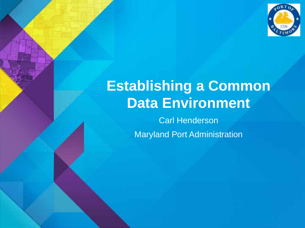

# **Establishing a Common Data Environment**

Carl Henderson Maryland Port Administration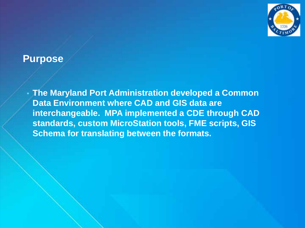

#### **Purpose**

• **The Maryland Port Administration developed a Common Data Environment where CAD and GIS data are interchangeable. MPA implemented a CDE through CAD standards, custom MicroStation tools, FME scripts, GIS Schema for translating between the formats.**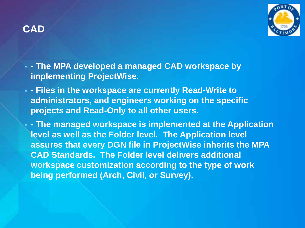

- **- The MPA developed a managed CAD workspace by implementing ProjectWise.**
- **- Files in the workspace are currently Read-Write to administrators, and engineers working on the specific projects and Read-Only to all other users.**

• **- The managed workspace is implemented at the Application level as well as the Folder level. The Application level assures that every DGN file in ProjectWise inherits the MPA CAD Standards. The Folder level delivers additional workspace customization according to the type of work being performed (Arch, Civil, or Survey).**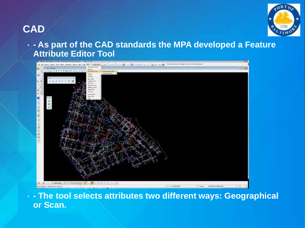

#### • **- As part of the CAD standards the MPA developed a Feature Attribute Editor Tool**



• **- The tool selects attributes two different ways: Geographical or Scan.**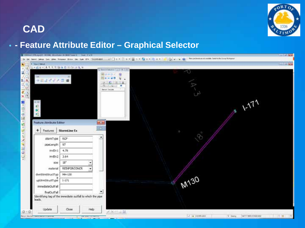

#### • **- Feature Attribute Editor – Graphical Selector**

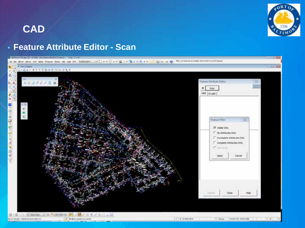

#### • **Feature Attribute Editor - Scan**

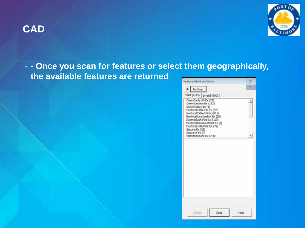



#### • **- Once you scan for features or select them geographically, the available features are returned**

| $+$ Re-Scan                                                                                                                                                                                                                           |  |
|---------------------------------------------------------------------------------------------------------------------------------------------------------------------------------------------------------------------------------------|--|
| valid (6125) [Invalid (990) ]                                                                                                                                                                                                         |  |
| CommCable UG Ex (27)<br>CommJunction Ex (193)<br>CommPulbox Ex (1)<br>ElectricalCable OH Ex (52)<br>ElectricalCable UG Ex (915)<br>Electrical JunctionBox Ex (20):<br>ElectricalLightPole Ex (125)<br>ElectricalStructurePoint Ex (X) |  |
| ElectricalUtilityPole Ex (79)<br>GasLine Ex (36)<br>Gasyalve Ex (7)<br>MiscUtilitiesLine Ex (778)                                                                                                                                     |  |
|                                                                                                                                                                                                                                       |  |
|                                                                                                                                                                                                                                       |  |
|                                                                                                                                                                                                                                       |  |
|                                                                                                                                                                                                                                       |  |
|                                                                                                                                                                                                                                       |  |
|                                                                                                                                                                                                                                       |  |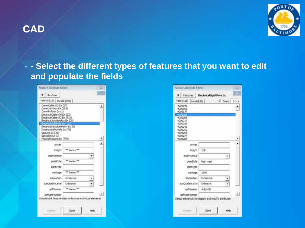

• **- Select the different types of features that you want to edit and populate the fields**

| Festure Atmibute Editor                                                                                                                                                                                                                                                                                 |                                                          | <b>17</b> |
|---------------------------------------------------------------------------------------------------------------------------------------------------------------------------------------------------------------------------------------------------------------------------------------------------------|----------------------------------------------------------|-----------|
| $\bullet$ Re-Scan                                                                                                                                                                                                                                                                                       |                                                          |           |
| Valid (6125) [31valid (990)]                                                                                                                                                                                                                                                                            |                                                          |           |
| CommCable UG Ex (27)<br>Comm.lunction Ex (193)<br>CommPulbox Ex (1)<br>ElectricalCable OH Ex (52)<br>ElectricalCable UG Ex (915)<br>Electrical JunctionBox Ex (20)<br>FlectricalStructurePoint Ex (K)<br>flectrical.it&tyPole Ex (79)<br>GasLine Ex (36)<br>GesValve Ex (7)<br>ModJtil/SesLine Ex (778) |                                                          |           |
| owner                                                                                                                                                                                                                                                                                                   |                                                          |           |
| Patrick L.                                                                                                                                                                                                                                                                                              | ** Varies **                                             |           |
| poleMaterial                                                                                                                                                                                                                                                                                            |                                                          |           |
| poleStyle                                                                                                                                                                                                                                                                                               | <b>AR VAILAG RM</b>                                      |           |
| lightType                                                                                                                                                                                                                                                                                               |                                                          |           |
| inattage                                                                                                                                                                                                                                                                                                | an varies an                                             |           |
| daposition                                                                                                                                                                                                                                                                                              | In Service                                               |           |
| BueQualityLevel                                                                                                                                                                                                                                                                                         | <b>Linkmown</b>                                          |           |
| cphiumber                                                                                                                                                                                                                                                                                               | <b>89 Variet 88</b>                                      |           |
| cofAddillumber                                                                                                                                                                                                                                                                                          | Double-click feature class to browse individual elements |           |
| <b>Ligalists</b>                                                                                                                                                                                                                                                                                        | Close<br>Help                                            |           |

| Feature Atmibute Editor                                                              |                                                    | π |
|--------------------------------------------------------------------------------------|----------------------------------------------------|---|
|                                                                                      | Features   ElectricalLightPole Ex                  |   |
| Vald (125) 1mvald (0)                                                                | $7$ Zoome $1.5$                                    |   |
| 4000149<br>4000161<br>4000177                                                        |                                                    |   |
| 4000205<br>4000217<br>4000229<br>4000241<br>4000253<br>4000065<br>4000277<br>4000289 |                                                    |   |
| owner.                                                                               |                                                    |   |
| height                                                                               | $-150$                                             |   |
| poleMaterial                                                                         |                                                    |   |
| poleStyle                                                                            | high mast                                          |   |
| lightType                                                                            |                                                    |   |
| mattage                                                                              | 1000                                               |   |
| disposition                                                                          | In Service                                         |   |
| scieQualityLevel                                                                     | <b>Linknown</b>                                    |   |
| cpfNumber                                                                            | $+0/+51$                                           |   |
| cofAddRiumber                                                                        |                                                    |   |
|                                                                                      | Select element(s) to display and modify attributes |   |
| <b>Listinia</b>                                                                      | Close<br>Help.                                     |   |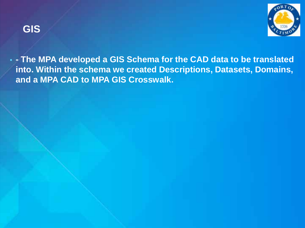

• **- The MPA developed a GIS Schema for the CAD data to be translated into. Within the schema we created Descriptions, Datasets, Domains, and a MPA CAD to MPA GIS Crosswalk.**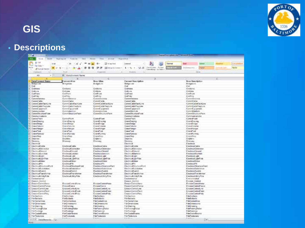

# **GIS**

#### • **Descriptions**

| ברה                                                |                                                       |                                                         | Detter an objective of them in form         |                         |                                                                |                            |                     |                 |  |  |  |  |  |  |
|----------------------------------------------------|-------------------------------------------------------|---------------------------------------------------------|---------------------------------------------|-------------------------|----------------------------------------------------------------|----------------------------|---------------------|-----------------|--|--|--|--|--|--|
| $F=$<br><b>Brookly</b>                             | <b>Facil Liquida</b><br>11 Forder Inc.<br><b>Date</b> | <b>Basico</b><br><b>Total</b><br><b>College College</b> | <b>Wood Art Co.</b>                         |                         |                                                                |                            |                     |                 |  |  |  |  |  |  |
| $A$ $1$<br><b>All of</b><br>To Look +              | $-189.$<br>x<br>×,                                    | The Incines freed<br>$= -$                              | <b>Distances</b>                            | <b>Normal</b>           | <b>Eat</b>                                                     | 2008                       | <b>RAULTS!</b>      | <b>STERNING</b> |  |  |  |  |  |  |
| Point<br>$1.7 - 1.0$<br><b>J' Factual Patches</b>  |                                                       | 医狭<br><b>BE</b> Migd & Lower 1                          | M.B. Destroye: forest<br>$1 - 16$<br>14     | <b>Allen Birth</b>      | <b>Exist</b>                                                   | <b>Historial</b>           | <b>Control Call</b> | Nickir          |  |  |  |  |  |  |
| 27 galaxya (d.                                     | Fair                                                  | Expected                                                | <b>Trustee</b>                              | Esemationary do Trainer |                                                                | <b>Dicks</b>               |                     |                 |  |  |  |  |  |  |
| w.                                                 | A Cutatisment Name                                    |                                                         |                                             |                         |                                                                |                            |                     |                 |  |  |  |  |  |  |
| AL                                                 |                                                       |                                                         |                                             |                         |                                                                |                            |                     |                 |  |  |  |  |  |  |
| <b>Jonet Lorence Name</b>                          | <b>Currons Allian</b>                                 | 4O<br>Nirar Alkas                                       | Carsent Description                         | D.                      |                                                                |                            | œ                   |                 |  |  |  |  |  |  |
| Healisti aw                                        | <b>Birdgetas</b>                                      | <b>Bridget</b> in a                                     | <b>BulpLar</b>                              |                         | <b>Now Description</b><br><b>EnrigeLink</b>                    |                            |                     |                 |  |  |  |  |  |  |
| <b>OM</b>                                          |                                                       |                                                         | Cast.                                       |                         | <b>Civit</b>                                                   |                            |                     |                 |  |  |  |  |  |  |
| ClubMent                                           | Civilians                                             | CHEANS                                                  | CLIENANA                                    |                         | CHANNE                                                         |                            |                     |                 |  |  |  |  |  |  |
| <b>Chall</b> Joy                                   | Cirilian                                              | Critica                                                 | CHEVIE                                      |                         | <b>Civil Jins</b>                                              |                            |                     |                 |  |  |  |  |  |  |
| Gulfried                                           | CHIPAIN                                               | <b>CydPoint</b>                                         | Childhoad                                   |                         | <b>Contribute</b>                                              |                            |                     |                 |  |  |  |  |  |  |
| <b>Chall</b> Take                                  | GwlPaly<br><b>Convidences</b>                         | <b>CHEVY</b>                                            | <b>CARTING</b><br>Connectations             |                         | <b>CHEVY</b>                                                   |                            |                     |                 |  |  |  |  |  |  |
| Commissioners<br>Committee Madrid                  | CommOable                                             | CommArtenee<br>ConveCable                               | Conner Cable                                |                         | CominiAntennia<br>CommCable                                    |                            |                     |                 |  |  |  |  |  |  |
| E. Commit attailació, na                           | ConnCabieltackLine                                    | CommCableRockLine                                       | Control, able Gacki, Ing.                   |                         | CommCableFiscHLime                                             |                            |                     |                 |  |  |  |  |  |  |
| ConstCableTis/Line                                 | CommCableTrajCata                                     | Control Caldie Trust Ine                                | CentersCalpleTrayLine                       |                         | Connecable leadural                                            |                            |                     |                 |  |  |  |  |  |  |
| 12 CommCragmont                                    | Convictationed                                        | Connell quipower                                        | Cannell, good and                           |                         | Correll poposed                                                |                            |                     |                 |  |  |  |  |  |  |
| 13 Communicher                                     | <b>Gommandish</b>                                     | <b>CommJutchen</b>                                      | Cammil Asrchole                             |                         | <b>Convollation</b>                                            |                            |                     |                 |  |  |  |  |  |  |
| U. Convertisormed view                             | Connectional and hard                                 | CowediaciduleDwin                                       | ConnellacetureDivis                         |                         | <b>Consideration</b> Pain                                      |                            |                     |                 |  |  |  |  |  |  |
| Il Construccio abione                              |                                                       |                                                         | Communications                              |                         | Cainmunication                                                 |                            |                     |                 |  |  |  |  |  |  |
| TE: Cantra/Paint<br>IF Gendheang                   | ComsPare<br>CanaDusing                                | Convol <sup>pt</sup> ons                                | Carolul <sup>1</sup> ta/I<br>CharaChaussia  |                         | CortesFood<br>Cranellissums                                    |                            |                     |                 |  |  |  |  |  |  |
| 11: Craniel Molgie                                 | Cranalisidge                                          | CrateDacing<br>Crainfinistal                            | Cranul/Index                                |                         | Citraficape                                                    |                            |                     |                 |  |  |  |  |  |  |
| 11 CrawCakers                                      | <b>CrameDaturns</b>                                   | ConwCútente                                             | ConneColumn                                 |                         | CraneCziarne                                                   |                            |                     |                 |  |  |  |  |  |  |
| 11 Crano Amger                                     | CransHanger                                           | Cranektanger                                            | CzaseHangw                                  |                         | Cranelvisnom                                                   |                            |                     |                 |  |  |  |  |  |  |
| 33. CranePost                                      | Cranalhost.                                           | CranePost                                               | CranePost                                   |                         | CranePost                                                      |                            |                     |                 |  |  |  |  |  |  |
| 22 Ownellsman                                      | <b>Cranellaneau</b>                                   | OateRuntey                                              | Cranel Genery                               |                         | <b>CurveRommy</b>                                              |                            |                     |                 |  |  |  |  |  |  |
| 13 Grand Stop                                      | GrandRep                                              | Cranefiling                                             | Grandford                                   |                         | <b>Cranelling</b>                                              |                            |                     |                 |  |  |  |  |  |  |
| G. Delphins                                        | Dolphanx.                                             | Drawin:                                                 | Oskelas                                     |                         | Dolphins.<br>Dristrator                                        |                            |                     |                 |  |  |  |  |  |  |
| 25: Docensity<br><b>SECTMENT</b>                   | Driveway                                              | District                                                | Olutway<br><b>Thechrical</b>                |                         | Electrical                                                     |                            |                     |                 |  |  |  |  |  |  |
| IF Chevroltable                                    | <b>UnitedCable</b>                                    | Electronication                                         | ElectricalCable                             |                         | Electrica/Cable                                                |                            |                     |                 |  |  |  |  |  |  |
| 20 Checksalderwater                                | <b>El echical Suriorator</b>                          | Electrical Serve at an                                  | DephaWanegox                                |                         | <b>Electrical Generator</b>                                    |                            |                     |                 |  |  |  |  |  |  |
| 20 Cherinial Iraini                                | <b>Entreal</b> Front                                  | Electrical Ground                                       | <b>Flachnical Strains</b>                   |                         | Fientnica/Osisand                                              |                            |                     |                 |  |  |  |  |  |  |
| 3E flucturalization                                | Electrical Linction                                   | <b>Fietexklaster</b>                                    | <b>Fluctri all Awards</b>                   |                         | <b>Fiestnical Munitials</b>                                    |                            |                     |                 |  |  |  |  |  |  |
| 10 Charmeral John                                  | Electrical idea                                       | Electrical, kdrt                                        | <b>Flammic oil light</b>                    |                         | ElectricalLight                                                |                            |                     |                 |  |  |  |  |  |  |
| 12 ClectricalLightPain                             | Dectrical gloffsie                                    | Electrical Light <sup>er</sup> cle                      | ElectricalLight <sup>m</sup> ole            |                         | Electrical, glo <sup>2</sup> cle                               |                            |                     |                 |  |  |  |  |  |  |
| 11 ElectricalUnder<br>30 Blocksvillet              | <b>Decision Mater</b><br><b>Electrical/IX</b>         | Electricalidates<br>Electrical <sup>ly</sup> s          | <b>Clectric all Jeter</b><br>ElectricalFill |                         | ElectricalMater<br>Einsteueille                                |                            |                     |                 |  |  |  |  |  |  |
| III: BectroalShutzunaPort                          | ElectricalStructurePlant                              | Electrical Sount profession                             | ElectrodShyricAPort                         |                         |                                                                | Electrical Structural land |                     |                 |  |  |  |  |  |  |
| 16 Flammouth Antalians                             | <b>Frankond Substantin</b>                            | <b>Finders in Subel More</b>                            | Hilective (discrimination)                  |                         | Fize bio al Salerial sir-                                      |                            |                     |                 |  |  |  |  |  |  |
| 17. Etwinister/Council                             | <b>Europealfastes</b>                                 | <b>Family Elsibit</b>                                   | <b>Elizabeth Millight A</b>                 |                         | <b>Factors Rutch</b>                                           |                            |                     |                 |  |  |  |  |  |  |
| 30. Decreatives/crise                              | <b>Decision Transferred</b>                           | ElectricalTransformer                                   | Dethiafiansformer                           |                         | Electrica Transferrori                                         |                            |                     |                 |  |  |  |  |  |  |
| 33. Chemical HillyFole                             | Declincat, MityPale                                   | Cleckscal July Pola                                     | Christina Activity Plate                    |                         | Electrical Utility Plan                                        |                            |                     |                 |  |  |  |  |  |  |
| <b>ED. Coverence</b> rial                          |                                                       |                                                         | Electromerical                              |                         | Everyworkedia                                                  |                            |                     |                 |  |  |  |  |  |  |
| <b>AT Freezer, Contral</b><br>43 Evening armillans | Emission Control Mark                                 | Exclusive andral-Assoc                                  | Essaca Control<br>Research Instructions     |                         | <b>Elenion Control</b><br>Entraneo <sup>n</sup> ontold future. |                            |                     |                 |  |  |  |  |  |  |
| 43 ErosinnControlFance                             | Employe ance                                          | Explore and a                                           | EssaionCantrolFence                         |                         | Ernston Control wace                                           |                            |                     |                 |  |  |  |  |  |  |
| II LissanControl.ine                               | ErstrienControlLine                                   | EnswortControlLine                                      | Lineworn Crantroll, me                      |                         | EntrewControlLine                                              |                            |                     |                 |  |  |  |  |  |  |
| El DesurControlPant                                | ErstreiControlPoint                                   | ExposeControlFord                                       | Crosson Central Plants                      |                         | Ensura Control herri                                           |                            |                     |                 |  |  |  |  |  |  |
| <b>RE Evente Controlling</b>                       | Except creditor                                       | Estate Controllisty                                     | Executive of Party                          |                         | Ersunn/Controll/oly                                            |                            |                     |                 |  |  |  |  |  |  |
| 41 Panhechers                                      | <b>Frashirchers</b>                                   | <b>FdsArchers</b>                                       | Postechini                                  |                         | <b>Film/crefines</b>                                           |                            |                     |                 |  |  |  |  |  |  |
| <b><i>AT ParRacters</i></b>                        | Freeholderin                                          | <b>Faulubris</b>                                        | <b>Partial wis</b>                          |                         | <b>Fieldates</b>                                               |                            |                     |                 |  |  |  |  |  |  |
| <b>85 FarCantaines</b>                             | FirCamadoss                                           | FibrCanbaltrus                                          | PaiCelesfines                               |                         | FérCenterènea                                                  |                            |                     |                 |  |  |  |  |  |  |
| EE: F@Chinartscope<br>11 FarDarring                | Fin Cineesins<br>FileDraming                          | <b>FrieDetrante che</b><br><b>TikOuens</b>              | FightNewstawing<br><b>IT di-Okakining</b>   |                         | Fachmerston<br>FileCluesto.                                    |                            |                     |                 |  |  |  |  |  |  |
| E3 PavPockeyPoble                                  | F/MFootingRobar                                       | <b>Fibritanno Ratio</b>                                 | <b>ParkenneRstar</b>                        |                         | FiteFactingRebal                                               |                            |                     |                 |  |  |  |  |  |  |
| Ell ForFostege                                     | <b>FindFootings</b>                                   | Fakiloanos                                              | <b>FitaFoxtings</b>                         |                         | Fedrasenge                                                     |                            |                     |                 |  |  |  |  |  |  |
| 54 For CeateReams                                  | FrinCradeReams                                        | FdeCroinBaums                                           | <b>RenGask@vane</b>                         |                         | Férôcatolistant                                                |                            |                     |                 |  |  |  |  |  |  |
| 5 ForPedemain                                      | For Pagestals                                         | Fidel <sup>T</sup> edesta's                             | Fachadestels                                |                         | FdyPadescain                                                   |                            |                     |                 |  |  |  |  |  |  |
| + + + + Outsthemeda 32                             | <b>Particularly</b>                                   | Keithin                                                 | Edition                                     |                         | Eddlings,                                                      | 日本                         |                     |                 |  |  |  |  |  |  |
|                                                    |                                                       |                                                         |                                             |                         |                                                                |                            |                     |                 |  |  |  |  |  |  |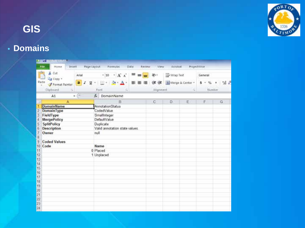

# **GIS**

# • **Domains**

|                                                                                       | 新闻员                                                                                                                               |                               |                  |                                                                                                                       |                                       |                       |                  |           |                            |                        |                         |
|---------------------------------------------------------------------------------------|-----------------------------------------------------------------------------------------------------------------------------------|-------------------------------|------------------|-----------------------------------------------------------------------------------------------------------------------|---------------------------------------|-----------------------|------------------|-----------|----------------------------|------------------------|-------------------------|
|                                                                                       | File<br>Home                                                                                                                      | Invert                        | Page Layout      |                                                                                                                       | Formular.                             | <b>Data</b><br>Review | <b>View</b>      | Acrobat   |                            | ProjectWise            |                         |
|                                                                                       | & Cut<br>La Copy +                                                                                                                | Arial                         |                  |                                                                                                                       | $^{\circ}$ 10 $^{-\circ}$ A $\Lambda$ |                       | $\sum_{i=1}^{n}$ | Wrap Text |                            | General                |                         |
|                                                                                       | Paste<br>Format Painter<br>v.<br>Clipboard                                                                                        | n<br>$\overline{\phantom{a}}$ | $\boldsymbol{I}$ | $\mathbf{u}$ + $\mathbf{u}$ +<br>Ford                                                                                 | $\Delta$ - $\Delta$ -<br>s.           |                       | 课课<br>Alignment. |           | Merge & Center -<br>$\sim$ | s<br>$\%$<br>$\bullet$ | $24 - 5$<br>٠<br>Number |
|                                                                                       | A1                                                                                                                                | $-$ (iii)                     |                  | f. DomainName                                                                                                         |                                       |                       |                  |           |                            |                        |                         |
| a,                                                                                    |                                                                                                                                   | A                             |                  |                                                                                                                       | B                                     |                       | C.               | D         | E                          | F                      | G                       |
| ۹<br>2<br>3<br>4<br>5<br>G<br>$\frac{7}{8}$<br>$\frac{9}{10}$<br>11<br>位付估估估付银的202020 | DomainName<br>DomainType<br>FieldType<br>MergePolicy<br>SplitPolicy<br><b>Description</b><br>Owner<br><b>Coded Values</b><br>Code |                               |                  | AnnotationStatus<br>CodedValue<br>SmallInteger<br>DefaultValue<br>Duplicate<br>null<br>Name<br>0 Placed<br>1 Unplaced | Valid annotation state values         |                       |                  |           |                            |                        |                         |
| 24                                                                                    |                                                                                                                                   |                               |                  |                                                                                                                       |                                       |                       |                  |           |                            |                        |                         |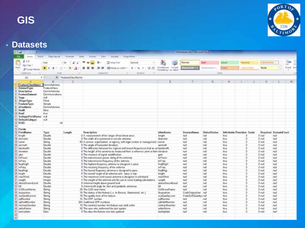

#### • **Datasets**

| 2 <sub>1</sub>                                                                       |                                                               |                          |                                       |           |                                                                                  |                |       |                                             | <b>SSORE models in Managed Lager</b> |              |                |                            |                      |                      |              |                 |
|--------------------------------------------------------------------------------------|---------------------------------------------------------------|--------------------------|---------------------------------------|-----------|----------------------------------------------------------------------------------|----------------|-------|---------------------------------------------|--------------------------------------|--------------|----------------|----------------------------|----------------------|----------------------|--------------|-----------------|
| Strant<br><b>Fig.</b><br><b>Illians</b>                                              | <b><i>Page Lierandi</i></b>                                   | Farmulai                 | <b>Data</b><br>Register               | View      | Austal                                                                           | Project Alas   |       |                                             |                                      |              |                |                            |                      |                      |              |                 |
| ж<br><b>Call</b><br>a.<br>LE Chay Y.                                                 | Anial                                                         | $\Lambda^*$<br>$+38 - 4$ |                                       | 놂.        | Pinter Text                                                                      | General        |       | ÷.                                          | Normal                               | <b>Bad</b>   | Good           | Noutral                    |                      | Calmilation          |              |                 |
| Fairley<br>Freemal Painter                                                           | $+1$ $-1$ $+1$<br>$\mathbf{E}$<br>13                          | ۰<br>Δ÷                  | 厘<br>ж<br>圈                           | 碟<br>化    | FEEDINGS & CHIEF *                                                               | ٠<br>1.7%      | 14.15 | Conditional Format<br>Fermatting + at Table | <b>A TELECTION</b>                   | Eqileseiure. | <b>Brigain</b> |                            | <b>John E Call I</b> | Note                 |              | <b>Stood De</b> |
| Debbars                                                                              | Port                                                          |                          |                                       | Elephated |                                                                                  | 16. senten art |       |                                             |                                      |              | Stiber         |                            |                      |                      |              |                 |
| A1                                                                                   | ٠.                                                            | 5 FeatureClassName       |                                       |           |                                                                                  |                |       |                                             |                                      |              |                |                            |                      |                      |              |                 |
|                                                                                      | п                                                             |                          |                                       |           | Ď.                                                                               |                |       |                                             |                                      | G            |                |                            |                      |                      |              | 33              |
| FeatureClassName CommAntenne<br>DatasetType<br>Description<br>FeatureCatanet<br>Togs | FeatureClass<br>CommAntanne<br>Communications.<br>rid<br>Port |                          |                                       |           |                                                                                  |                |       |                                             |                                      |              |                |                            |                      |                      |              |                 |
| ShopeType<br>FeatureType<br><b>Liudione</b>                                          | Simple<br>CommAltissa                                         |                          |                                       |           |                                                                                  |                |       |                                             |                                      |              |                |                            |                      |                      |              |                 |
| HosM                                                                                 | feise                                                         |                          |                                       |           |                                                                                  |                |       |                                             |                                      |              |                |                            |                      |                      |              |                 |
| <b>MainZ</b><br>35                                                                   | 17.18                                                         |                          |                                       |           |                                                                                  |                |       |                                             |                                      |              |                |                            |                      |                      |              |                 |
| Subtyped inichiama                                                                   | nul                                                           |                          |                                       |           |                                                                                  |                |       |                                             |                                      |              |                |                            |                      |                      |              |                 |
| 12: DefaultSubtype                                                                   | nat<br>44                                                     |                          |                                       |           |                                                                                  |                |       |                                             |                                      |              |                |                            |                      |                      |              |                 |
| 13 DSID<br>14                                                                        |                                                               |                          |                                       |           |                                                                                  |                |       |                                             |                                      |              |                |                            |                      |                      |              |                 |
| <b>15 Fields</b>                                                                     |                                                               |                          |                                       |           |                                                                                  |                |       |                                             |                                      |              |                |                            |                      |                      |              |                 |
| 10 FieldName                                                                         | Type                                                          | Leagth                   | Description                           |           |                                                                                  |                |       | AliasName                                   | DomainNome                           | Defect/Value |                | InNullablo Precision Scale |                      | Required DomainFixed |              |                 |
| 17 locath                                                                            | Double                                                        |                          |                                       |           | B A measurement of the longer of tive linear axes.                               |                |       | longth                                      | null                                 | nut          | <b>Yut</b>     |                            |                      | 0 mill               | na           |                 |
| II danithi                                                                           | Double                                                        |                          |                                       |           | If The width of a cylindrical ar circular antenna.                               |                |       | diamotor                                    | razil                                | null         | thus           |                            |                      | D mult               | <b>FILIT</b> |                 |
| 15 owner                                                                             | <b>String</b>                                                 |                          |                                       |           | 60 A person, organization, or ogency with legal control ar management i everer   |                |       |                                             | null                                 | nul          | True.          |                            |                      | D mail               | ruil         |                 |
| 20 azimuth.                                                                          | Double                                                        |                          | \$ The angle of horizontal deviation. |           |                                                                                  |                |       | azimith                                     | null                                 | hul          | true           |                            |                      | 0 mill               | ruil         |                 |
| 21 bandwell h                                                                        | Double                                                        |                          |                                       |           | B The difference between the highest and lawest frequencies that an an bandwidth |                |       |                                             | nil                                  | nul          | the            |                            |                      | 0 mill               | ruit         |                 |
| 22 elevation                                                                         | Double                                                        |                          |                                       |           | 8 The height of the antenna as measured from a reference point or from elevation |                |       |                                             | null                                 | nut          | tria           |                            |                      | 0 mult               | null         |                 |
| $23$ gan                                                                             | Double                                                        |                          |                                       |           | B. The measure of signal amplification.                                          |                |       | <b>GOIN</b>                                 | null                                 | null         | true           |                            |                      | D mult               | <b>CLUB</b>  |                 |
| 34 toPower                                                                           | Double                                                        |                          |                                       |           | If The transmission power rating of the antenna                                  |                |       | be <sup>0</sup> ower                        | null                                 | nul          | true           |                            |                      | 0 mill               | ruit         |                 |
| 25 tuFres                                                                            | Double                                                        |                          |                                       |           | B The transmission frequency of the antonna                                      |                |       | beFreq                                      | null                                 | nat          | true           |                            |                      | 0 mill               | null         |                 |
| HerRoget 35                                                                          | Doubla                                                        |                          |                                       |           | Il The highost trequency antenna is dosigned to pack                             |                |       | <b>FooRingH</b>                             | mill                                 | nat          | true           |                            |                      | 0 mill               | rull         |                 |
| 27.00904                                                                             | Double                                                        |                          |                                       |           | 8 The receiving hequancy of the antenna                                          |                |       | biFreq                                      | null                                 | realt        | Truck          |                            |                      | D. mail              | nul          |                 |
| 20 hosRngL                                                                           | Double                                                        |                          |                                       |           | B The lowest frequency antonna is designed to pass                               |                |       | toding.                                     | null                                 | null         | true           |                            |                      | 0 rull               | ruil         |                 |
| 25 hours                                                                             | Double                                                        |                          |                                       |           | B The overall height of an antenna unit - base to top                            |                |       | hoight                                      | null                                 | hid          | <b>Shop</b>    |                            |                      | 0 mill               | nil          |                 |
| 30 maxWind                                                                           | Integer                                                       |                          |                                       |           | 4 The maximum wind speed alterna is designed to withstand                        |                |       | inariWind.                                  | nuit                                 | $n$ ull      | true           |                            |                      | D ruil               | nil          |                 |
| 31 would                                                                             | Integer                                                       |                          |                                       |           | 4 The weight of the antenna unit for use in tower leading calculations           |                |       | weight.                                     | nil                                  | hall         | this           |                            |                      | 0 mill               | rull         |                 |
| 32 aboveGround.avel                                                                  | Double                                                        |                          | 3 Acterna height above greand loval   |           |                                                                                  |                |       | sboxeGroundLovel                            | nall                                 | nul          | true           |                            |                      | 0 mill               | nil          |                 |
| 33.18                                                                                | Double                                                        |                          |                                       |           | B Artenna tilt angle for dish and parabolic antiennas                            |                |       | 48                                          | null                                 | nul          | Ins            |                            |                      | $0$ mall             | rull         |                 |
| 34 CADLevePlame                                                                      | Stang                                                         |                          | 20 The CAD level name                 |           |                                                                                  |                |       | <b>CADLevoTiame</b>                         | radi                                 | null         | trug           |                            |                      | 3 mill               | rul          |                 |
| 35 aspection                                                                         | Sting                                                         |                          |                                       |           | 16 The status of the feature (i.e. In Service, Abandoned, etc.)                  |                |       | disposition                                 | CodeDisposition null                 |              | Trub.          |                            |                      | 0 mill               | ruil.        |                 |
| Ins.https:Coup.36                                                                    | Stario                                                        |                          | 16 The quality level of the feature   |           |                                                                                  |                |       | supQualityLevel                             | Code SUEQuality), null               |              | true           |                            |                      | 0 mill               | rull         |                 |
| 37 coffiumber                                                                        | Steng                                                         |                          | 15 The CPF number                     |           |                                                                                  |                |       | coffilumber                                 | mill                                 | nul          | trut           |                            |                      | 0 mil                | ruit         |                 |
| 31 cpl/cdNymber                                                                      | <b>Stario</b>                                                 |                          | 265 Additional CPF numbers            |           |                                                                                  |                |       | cpMddNumber                                 | null                                 | null         | true           |                            |                      | 0 mult               | null         |                 |
| 15 connectNumber                                                                     | Steng                                                         |                          |                                       |           | 10 The contract number the fasture was built under                               |                |       | contract/umber                              | null                                 | nell         | this           |                            |                      | D'muil               | exit.        |                 |
| 48 odtařiana                                                                         | Stang                                                         |                          |                                       |           | 50 The upon who performed the last eposee                                        |                |       | editorName                                  | null                                 | null         | trug           |                            |                      | O mail               | ruit         |                 |
| 41 lastUpdata                                                                        | Date                                                          |                          |                                       |           | B The date the feature was last updated                                          |                |       | fastLipdate.                                | mull.                                | nat          | true           | đ                          |                      | 0 mill               | rui!         |                 |
| 42<br>41                                                                             |                                                               |                          |                                       |           |                                                                                  |                |       |                                             |                                      |              |                |                            |                      |                      |              |                 |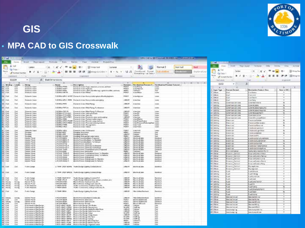

## **GIS**

#### • **MPA CAD to GIS Crosswalk**

| t a                                  |                          |                                                                          |                                 |                                                                                |                                  |                                                                           |                                                                                                                   |                 |                                   |                                                         |                                       | MA COLD BLOWER ENGINEERING STREET |                  |        |                                        |                                             |                                                     |                                   |                       |
|--------------------------------------|--------------------------|--------------------------------------------------------------------------|---------------------------------|--------------------------------------------------------------------------------|----------------------------------|---------------------------------------------------------------------------|-------------------------------------------------------------------------------------------------------------------|-----------------|-----------------------------------|---------------------------------------------------------|---------------------------------------|-----------------------------------|------------------|--------|----------------------------------------|---------------------------------------------|-----------------------------------------------------|-----------------------------------|-----------------------|
| <b>FOR</b>                           | <b>Market</b>            | <b>Wilself</b><br><b>Fase Livices</b>                                    |                                 | Fairniss<br>Cura                                                               |                                  |                                                                           | "Rever - Vaul - Actibal -                                                                                         | Probastrivia    |                                   |                                                         |                                       |                                   |                  |        | <b>All Card</b>                        |                                             |                                                     |                                   |                       |
|                                      | ×                        | California                                                               |                                 | $\equiv$<br>十日 一 ズーズ                                                           | $\blacksquare$<br>$\blacksquare$ | $-10^{-4}$                                                                | -Wile feet                                                                                                        | General         |                                   |                                                         | Namul 2                               | <b>NGC FILL</b>                   | 844              |        | <b><i><u>Idian</u></i></b>             | <b>TREASURE</b>                             | Thrust I formall<br><b>Torrested</b><br><b>TOWN</b> | <b>Treatman</b><br><b>Without</b> | Lauren                |
| <b>BOO</b><br>Paris                  | La Copp                  | i sa<br>$\mathbf{H}$                                                     | $+1$ (1) $+1$ (2) $+2$ (4) $+1$ |                                                                                | 車車車便便                            |                                                                           | in the planning and the Carolina in                                                                               | $1 + 1$         | は言                                | Conditioned - Friends                                   | Calculation                           | <b>STERNO</b>                     | <b>Durington</b> |        |                                        | Californi                                   | $-12.1$                                             |                                   | <b>Intiac</b>         |
|                                      | of remotivants.          |                                                                          | <b>Frank</b>                    |                                                                                |                                  |                                                                           |                                                                                                                   | <b>BLanched</b> |                                   | Finence (1914 * as Tellet *                             |                                       |                                   | <b>TERRI</b>     | Factor | <b>Ra Delet's</b>                      | $\blacksquare$                              | 冨<br>- 10                                           | 畐<br>灌                            | <b>CR (Bill Merge</b> |
|                                      | Clipboard                | ٠                                                                        |                                 |                                                                                |                                  | <b>PARTNER</b>                                                            |                                                                                                                   |                 |                                   |                                                         |                                       |                                   |                  |        |                                        | of largest Parker                           |                                                     |                                   |                       |
|                                      | <b>G1139</b>             |                                                                          | & SlabDenerstons                |                                                                                |                                  |                                                                           |                                                                                                                   |                 |                                   |                                                         |                                       |                                   |                  |        | 7. Hellowinski                         |                                             | <b>Transfer</b>                                     | <b>PURINE</b>                     |                       |
|                                      | Window !<br><b>Lough</b> | deing.                                                                   |                                 | Mates                                                                          |                                  | <b>Description</b>                                                        |                                                                                                                   |                 | <b><i><u>Figures</u></i></b>      | <b>Destination Feature C.</b>                           | Development Pearson Customer          |                                   | L H H 3          |        | 6322                                   | $\sim$ 1                                    | z                                                   |                                   |                       |
| <b>BE FUE</b><br><b>IRC ENR</b>      | Det                      | The player for full and<br>Diversity Value                               |                                 | <b>CENTAL PITH</b><br>C-DOM-H-M-DT                                             |                                  | Domestic Valer High anti-                                                 | Endwell Valle Cips, rewered proven, and we                                                                        |                 | <b>PIPAUL</b><br><b>WOALT</b>     | Visit Pinnie<br><b>WaterHeiner</b>                      | <b>DOM</b><br><b>Wigher</b>           |                                   |                  |        | ×                                      |                                             |                                                     |                                   | ж                     |
| il cut<br>EL CM                      | <b>Your</b><br>Tind      | <b>Bisheritz Value</b><br><b>Girlanda</b> Value                          |                                 | <b>F-ECRAL ERNI</b><br>C-DONE-LARTIN                                           |                                  | Doracle Vale Maste                                                        | Zvenecie shawn and chiamine tage, applicationalities, authority                                                   |                 | AAAAF<br><b>ADMT</b>              | <b><i><u>TRAFA ARM</u></i></b><br>or use follows:       | Final.<br>View                        |                                   |                  |        | Lager Type<br>Chilean                  | <b>France Detect</b>                        | Designation Dealers Dess<br><b>Contractor</b>       | New to O/S                        |                       |
| <b>IN CUR</b>                        | <b>Dell</b>              | <b>Greenic Vale</b>                                                      |                                 |                                                                                |                                  |                                                                           | DOORNAPV-POT Direct Yate for colds take the druh grabes.                                                          |                 | PERT                              | <b>S'alePhoton</b>                                      | <b>VWW</b>                            |                                   |                  |        | <b>Clebung</b>                         | <b>Suite</b>                                | unione                                              | $\mathbf{u}$                      |                       |
| <b>III</b> CM                        | tiat                     | <b>Cheesader Maner</b>                                                   |                                 |                                                                                |                                  |                                                                           | D.D.OM and Part - PPR Design in Value Prompt Kalle users (6/1)                                                    |                 | 1,446,679                         | WaterLine                                               | sae                                   |                                   |                  |        | Dieta, Ave.<br>Detected                |                                             | <b>LATITUDES</b><br>sections                        |                                   |                       |
|                                      | CHE                      | Distances Intern                                                         |                                 | COOMAPPE                                                                       |                                  | Tooleride's see Mai-Plans                                                 |                                                                                                                   |                 | 1,846,978                         | wheel line                                              | triate.                               |                                   |                  |        | <b>LAGEN</b>                           | <b>DURATIVAL CITY CARS</b>                  | TUBLISHEAT PUSS A                                   |                                   |                       |
| <b>IN Cut</b>                        |                          |                                                                          |                                 |                                                                                |                                  |                                                                           |                                                                                                                   |                 |                                   |                                                         |                                       |                                   |                  |        | <b>USES</b>                            | <b><i><i><u>PATIAN GELSTE</u></i></i></b>   | DR.N. 1979.                                         |                                   |                       |
| <b>III</b> CM                        | Del                      | Downto Vale                                                              |                                 | DOOM/JPPEA                                                                     |                                  |                                                                           | Curents Van Malifang EnManton                                                                                     |                 | <b>LINEATI</b>                    | <b>WaterCoat</b>                                        | a later                               |                                   |                  |        | USES.                                  | <b>JOHN MAILER CARD</b>                     | UNITED BEREVISEELING                                | $\mathbf{u}$                      |                       |
| <b>IBCOM</b>                         | Du                       | <b>Dresento Vales</b>                                                    |                                 | <b>MODAGERS</b>                                                                |                                  |                                                                           | Dunmile Vate: Mat Pleing To Pennon                                                                                |                 | (347.67)                          | WaterFiles                                              | Viete:                                |                                   |                  |        | <b>OE11</b>                            | 1009109-021200                              | ON MUSEUM FEMALINE                                  | 18                                |                       |
| <b>BECKH</b>                         | ba                       | <b>Streets Valve</b>                                                     |                                 | <b>SEPALANTSAAR</b><br>COOM-ATTACHE                                            |                                  | Timework Value, Walter pitchmake                                          |                                                                                                                   |                 | POM.R<br>Pickett.                 | Water Pit                                               | <b>Walker</b>                         |                                   |                  |        | Mitta                                  | <b>SEDARISTIC</b>                           | <b>DEMANDEMENT</b>                                  | n                                 |                       |
| M Cud                                | c                        | Dorse of c Value<br><b>Report Follow</b>                                 |                                 | <b>COMMUSSION PIPE</b>                                                         |                                  | Countrals Vales from pits.                                                | Daniel is Valle Dollards which perhapsing                                                                         |                 | 147.67                            | Valent<br>Wallet Liter                                  | <b>Vate</b><br><b>Video</b>           |                                   |                  |        | William<br>TRIAMES,                    | <b>INFORMATION</b><br>complicação de conta- | an harristan<br>since for the contract of ballant   | ×                                 |                       |
| $\frac{2}{3}$                        | Die                      | Diseaseky Viace                                                          |                                 | <b>LOCKALLOON</b>                                                              |                                  |                                                                           | Samestic share. Durbase realise sissues.                                                                          |                 | <b>PIOLS</b>                      | s/weekAakm                                              | <b>Lights</b>                         |                                   |                  |        | TT LKKing                              | Time triumi                                 | Tracello León (Challella)                           | <sub>R</sub>                      |                       |
|                                      | 64                       | <b>Schestic Valent</b><br>Dráma rei o Viacor                             |                                 |                                                                                |                                  |                                                                           | <b>LEOMAISPLO-PENE: Everetic View Electric panp metros</b><br>COON/2010/LPDC Datastic class Possessed ad policies |                 | Prize <sub>-1</sub> 8<br>PION/T   | Vide Portugal about<br>VateParsscoPedcologikal Line     | <b>Video</b>                          |                                   |                  |        | <b>LETLACEM</b>                        | <b>Figure (1997)</b>                        | Interfacture follow into adver-                     | a.                                |                       |
| F SI                                 | B,                       | <b>Supervisor Normal</b>                                                 |                                 | Webstan                                                                        |                                  | Destrects Water, Thomas travel-                                           |                                                                                                                   |                 | PVA/E                             | Water Tuesk                                             | <b>Graduate</b>                       |                                   |                  |        | 15 Dollar                              | Daymont                                     | Invirian Besund                                     | ka                                |                       |
| <b>M. CvI</b>                        | 62                       | Dunayer Vale                                                             |                                 | DOOM/JON'S                                                                     |                                  | Daviesto's'aire hidues                                                    |                                                                                                                   |                 | POMT                              | Water Value                                             | Vater.                                |                                   |                  |        | Elikolov                               | <b>Isterned</b>                             | behical laterate                                    |                                   |                       |
| <b>All: Civil</b>                    | Gui                      | Donastic Value                                                           |                                 | <b>LECHA-MELL</b>                                                              |                                  | <b>University Vieter, Viet Avenue</b>                                     |                                                                                                                   |                 | <b>DEBUT</b>                      | scale/and                                               | <b>Lister</b>                         |                                   |                  |        | <b>LESSA</b>                           | Legislated                                  | network grotove                                     |                                   |                       |
| <b>CM</b>                            | Ďм                       | <b>Findsime</b>                                                          |                                 | <b>DEED DOG</b>                                                                |                                  | <b>Limbang, Antoniphon</b>                                                |                                                                                                                   |                 | <b>MAG</b>                        | <b>University</b>                                       | Seit                                  |                                   |                  |        | 18 LAGUA                               | <b>INCOUR</b>                               | metrica Milesto                                     |                                   |                       |
| a co                                 | ũ                        | <b>Christma</b><br><b>Distant</b>                                        |                                 | <b>DESCRIPTION</b><br><b>UFED CHAR</b>                                         |                                  | Decisional Link Insur                                                     | Livréping Drómunalhaft fronte realité                                                                             |                 | <b>LEEAT</b><br><b>NHL</b>        | Cooking<br><b>JHIMAKI</b>                               | Due                                   |                                   |                  |        | TRIAMAN                                | Jelenum                                     | <b>Indirective</b>                                  |                                   |                       |
| <b>UCCW</b>                          | Del                      | Leople Power                                                             |                                 | FOVINDEN.                                                                      |                                  |                                                                           | Girma Form Guilbant, Programs                                                                                     |                 | <b>LINEAU</b>                     | Desease all other                                       | <b>Groters</b>                        |                                   |                  |        | 21 現代                                  | 130 R                                       | <b>ATKLICATION</b>                                  |                                   |                       |
| EE, CAH                              |                          | <b>Josia</b> Plane                                                       |                                 | <b>JPD/IFIDENIA</b>                                                            |                                  |                                                                           | <b>Lindra Foundation, To Aberton</b>                                                                              |                 | 1,846,865                         | Driftin dictary                                         | Emiliand                              |                                   |                  |        | <b>UEF</b>                             | 100910                                      | <b>SEEKINGSTER</b>                                  | 18                                |                       |
| EE GW<br>UI CW                       | 235                      | Llootak, Flyiust<br><b>Leona</b> Power                                   |                                 | DESNIFIDENCO<br>POWHUME                                                        |                                  | <b>Lindin Ferrit Cambrid</b>                                              | Lives ForcUpboy, Tollenore                                                                                        |                 | <b>LAKAR</b><br>LAKAF             | <b>Doublin Allistic</b><br>Derkin al Jakin              | Emintera<br>Lechtrid                  |                                   |                  |        | <b>IT WHO</b>                          | 1:02:12                                     | <b>ATURISTIC</b>                                    | hs                                |                       |
| BC CW                                |                          | <b>Cannie Freuer</b>                                                     |                                 | <b>CEOULE DIVISION</b>                                                         |                                  |                                                                           | University on Gardens To Nussex                                                                                   |                 | LINE AD                           | <b>Dentro di Jako</b>                                   | Exetera                               |                                   |                  |        | <b>JE USAN</b>                         | 1/02/12/                                    | GERICE/ JURIS CHARLES                               | $^{16}$                           |                       |
| EE CM                                | 岀                        | <b>Leonix Player</b>                                                     |                                 | <b>SPENSHOPS</b>                                                               |                                  |                                                                           | <b>Dedict Forms Dekkend To Femous</b>                                                                             |                 | 1,840,767                         | Detting Mr.                                             | Lechtra                               |                                   |                  |        | 10015                                  | 120705                                      | <b>NTONNING</b>                                     | 曳                                 |                       |
| <b>IF</b> Cut<br>ш см                | Dal                      | <b>Central Provan</b><br><b>Linday, Pillers</b>                          |                                 | <b>MONEY TRANS</b><br><b><i>ALCOHOL: ALCOHOL:</i></b>                          |                                  | Linchis Figures Abbacalon                                                 | Einste Feare Traumaner Liver, Frepend                                                                             |                 | LAKAVI<br><b>ANK</b>              | <b>Instruction</b><br>DHAMA-                            | Emmeval<br><b>Circle</b>              |                                   |                  |        | DRH                                    | <b>Enangele ersa</b>                        | <b>MACHINERY</b>                                    | $\rightarrow$                     |                       |
| UE CM                                | e                        | <b>Leone</b> Power                                                       |                                 | DEQUELTIMALA                                                                   |                                  |                                                                           | University Property Trustees and Constant                                                                         |                 | LANCAGO                           | Derkin all alle                                         | Contaca                               |                                   |                  |        | 26 OP.H.                               | 13891.SE13                                  | <b>COLUSCORY PRIL</b>                               | $\rightarrow$                     |                       |
| <b>BE CM</b><br><b>MCCCCC</b>        | Del-                     | Eddrey Player<br><b>VARN FOLK</b>                                        |                                 | <b>DIFOVIA TAMLA</b><br>DIPONYRINGAE)                                          |                                  | Martha Wasser (Auburnicas)                                                | Bleck is Primery 31 or pheating A Dead, T-L Promiums                                                              |                 | LINE, MH<br>LikeLish              | <b>Monto alculto</b><br>sistential all state            | Emilita<br><b>STARTON AT</b>          |                                   |                  |        | 100100                                 | <b>CASTLETIN</b>                            | SE DISSUES D'INTER                                  | $\cdot$                           |                       |
| ILI Live                             | DM<br>D4                 | <b>EXHIBITION</b>                                                        |                                 | CROWNINGHO                                                                     |                                  |                                                                           | Mexico Primer Shibegroots, Int Nordon                                                                             |                 | LINLING                           | Meeting, dev                                            | Earthly of                            |                                   |                  |        | 1810/8ve                               | bare any                                    | top process punk                                    |                                   |                       |
| <b>IAE</b> CME                       | <b>Chat</b>              | <b>SAVIN FONE</b>                                                        |                                 | C-PUVR-INPELA                                                                  |                                  |                                                                           | Ments Pierre (Adelptung 1c Palsers                                                                                |                 | LANLAIN                           | storted all she                                         | <b>Bismana</b>                        |                                   |                  |        | 28 00ve                                | Treasury Carmel                             | to all your Contents Plant of                       |                                   |                       |
|                                      |                          |                                                                          |                                 |                                                                                |                                  |                                                                           |                                                                                                                   |                 |                                   |                                                         |                                       |                                   |                  |        | MI DAve                                | <b>CORNER CAPTUR</b>                        | NUMBER ONLY                                         | $\rightarrow$                     |                       |
| <b>BECM</b>                          | <b>Diet</b>              | Tights Camps                                                             |                                 | CITATA (JADI BOH) Trake Derign Upper Conductions)                              |                                  |                                                                           |                                                                                                                   |                 | Like an                           | <b>Shrive Cake</b>                                      | Exchange                              |                                   |                  |        | 11 Oct-ai                              | <b>Copier Centrel</b>                       | <b>Conceptions</b>                                  | $\overline{\phantom{a}}$          |                       |
|                                      |                          |                                                                          |                                 |                                                                                |                                  |                                                                           |                                                                                                                   |                 |                                   |                                                         |                                       |                                   |                  |        | 11 Ohio                                | <b>Trinsic Circles</b>                      | To me low                                           |                                   |                       |
| 100 KW                               | <b>Clus</b>              | <b>Franklingham</b>                                                      |                                 | E.TRHE-DIGH BROG., Traffickings Lighting Constat. Birker                       |                                  |                                                                           |                                                                                                                   |                 | LOG.NT.                           | <b>Martin All Art</b>                                   | <b>Excels d</b>                       |                                   |                  |        | <b>SETURAJN</b>                        | <b>Guard</b>                                | uALSA with                                          | $\rightarrow$                     |                       |
|                                      |                          |                                                                          |                                 |                                                                                |                                  |                                                                           |                                                                                                                   |                 |                                   |                                                         |                                       |                                   |                  |        | 16 LAIA                                | <b>LATE</b>                                 | Let'l thing                                         | $\cdot$                           |                       |
| <b>COL</b> Cash                      | That                     | Turk-Dailyi                                                              |                                 | <b>CONALISOTIFIC</b>                                                           |                                  |                                                                           | Trails Design Uplate Cooler, PVC.                                                                                 |                 | <b>LAW AR</b>                     | <b>Rental of she</b>                                    | <b>Excess d</b>                       |                                   |                  |        | Little Ave.                            | <b>Latitude</b>                             | LASS/NT-36                                          | $\overline{\phantom{a}}$          |                       |
| <b>TIT CLE</b>                       | <b>Coat</b>              | Trutto Faste                                                             |                                 | 0.7946.076.8                                                                   |                                  |                                                                           | Tradition Electric Editorial (1) along continues arranged at a west                                               |                 | <b>JAW AR</b>                     | <b>Part E. A. Alex</b>                                  | <b>Bankra</b>                         |                                   |                  |        | LBILIK,                                | $-60$                                       | <b>UPE INV</b>                                      | $\rightarrow$                     |                       |
| <b>FIX</b> : Banues                  | Salong                   | <b>Farith Power</b><br><b>Facto Press</b>                                |                                 | <b>LEOVA OVEC</b><br><b><i>SPOURAGE</i></b>                                    |                                  |                                                                           | <b>Rents Power During Lives Ry</b>                                                                                |                 | <b>Aut MA</b><br><b>JENE AUTO</b> | <b>Reichlich</b><br><b>Business All Man</b>             | <b>Eastern A</b><br><b>Parcello d</b> |                                   |                  |        | <b>USIN</b>                            | Fulati                                      | <b>JASJAN/VANX</b>                                  | $\pi$                             |                       |
| <b>EXC Rende</b><br><b>WEIGHT</b>    | Savey<br><b>National</b> | Turb Financi                                                             |                                 | A TRAFICIAND                                                                   |                                  |                                                                           | Bact & Power Schepeard (exc. E)<br>Tutte Constitute, Contestities 81.                                             |                 | 44,68                             | <b>Rental of Arts</b>                                   | <b>Transdu</b> d                      |                                   |                  |        | <b>MARIN</b>                           | Fulli                                       | <b>ARRIVE</b>                                       | $\mathcal{F}$                     |                       |
| <b>BEC</b> - Thanking                | <b>Scop</b>              | <b>Turk Resear</b>                                                       |                                 | A TASK LIGHTS                                                                  |                                  |                                                                           | Vadio financialmi, independence. Ec-                                                                              |                 | 1.040.6/5                         | <b>Business All May</b>                                 | <b>Buchtal</b>                        |                                   |                  |        | <b>JB LAKIN</b>                        | Public                                      | Fuertures                                           | $\mathbb{R}$<br>$\rightarrow$     |                       |
| ME FM                                | Fiat                     | <b>Traffic Design</b>                                                    |                                 | <b>CPAM-TBRK</b>                                                               |                                  | Trade Excity's Lighting Hardwall.                                         |                                                                                                                   |                 | <b>ABLUR</b>                      | <b>March Editor (Residence)</b>                         | <b>Bureau</b>                         |                                   |                  |        | <b>FDT LASSING</b><br><b>FETLIGHTS</b> | Public                                      | Fueld Investors harms<br>Puel Tarvi                 | $\mathcal{M}$                     |                       |
|                                      |                          |                                                                          |                                 |                                                                                |                                  |                                                                           |                                                                                                                   |                 |                                   |                                                         |                                       |                                   |                  |        | <b>CE LAURIN</b>                       | Fuel<br>Puert                               |                                                     | $-20$                             |                       |
|                                      |                          |                                                                          |                                 |                                                                                |                                  |                                                                           |                                                                                                                   |                 |                                   |                                                         |                                       |                                   |                  |        | 41 Olivar                              | Georgianus                                  | Pueblane<br>GestionChildrene                        | $\mathcal{R}$                     |                       |
| H2 Innet                             | <b>Aires</b>             | <b>EXHIBITION</b>                                                        |                                 | <b>J POUR DENK</b>                                                             |                                  |                                                                           | Electric ProventSynBank Combut, Ex-                                                                               |                 | 1,996,000                         | FASILIAN EXVITAS                                        | <b>Garmer of</b>                      |                                   |                  |        | (E) Other                              | Serie/mia                                   | Gestechtung                                         | $\sim$                            |                       |
| <b>BILGAR</b><br><b>SEE</b> , THRUNK | <b>Line</b><br>5,0548    | <b>GRAND FOLK</b><br><b>Exchange</b>                                     |                                 | C-Picketti dalvan<br><b><i><i><u>APCN/PLOBAPI</u></i></i></b>                  |                                  | Marte to Wrecker, Same and or<br>Electric Primary Dates Ala. By           |                                                                                                                   |                 | <b>WEIGHT</b><br>PERAT            | <b>BALLY BY ASSAULT AT S</b><br><b>Berke allahe are</b> | Exists 4<br>Earlish A                 |                                   |                  |        | IS100rai                               | Geologitecar                                | Gestres 19 Utes                                     | $\mathbf{w}$                      |                       |
| <b>INT</b> Fall                      | Tod                      | Facto Praia                                                              |                                 | <b>C-P DUKLIMINER</b>                                                          |                                  | <b>Recta Prover Scould</b>                                                |                                                                                                                   |                 | <b>Ariault</b>                    | <b>PAINTED ATTN: LOCAL</b>                              | <b><i><u>Registrat</u></i></b>        |                                   |                  |        | 431 (Odkus)                            | <b>Decretorial</b>                          | Seusachillo)                                        | $\cdot$                           |                       |
| WF CM<br><b>MECOM</b>                | Cut<br>Pad               | If not contact at files Decises<br>Ford contact of film Existen          |                                 | <b>C-ESO-BACILESS</b><br><b>ELEVERY WANT FUSIPIES</b>                          |                                  | <b>Photosoftlin Darcigo, 25-A Busher</b><br>Bluton file Design Detression |                                                                                                                   |                 | Liker Art<br><b>BULKIPRE</b>      | <b>Timeli Jim</b><br><b>Four Prints</b>                 | <b>Their</b><br>Face                  |                                   |                  |        | 27 Odust                               | <b>Georginal</b>                            | German Miller                                       | $\mathbf{w}$                      |                       |
| <b>WE CAN</b>                        | Dell                     | <b>Early meters of Nite Devilets</b>                                     |                                 | DESDURACTORIOS-                                                                |                                  |                                                                           | <b>Reuters fire Oneign HyPly Excelling Steps</b>                                                                  |                 | LAWAH                             | The River                                               | Disk                                  |                                   |                  |        | 4T Olves                               | <b>Level An Age 19</b>                      | <b>LambuageAcro</b>                                 | $\frac{1}{2}$                     |                       |
| <b>RICE CAR</b>                      | Pola                     | <b>Exclusions of the Exclus</b>                                          |                                 | E-PAIN-MARTINARY                                                               |                                  |                                                                           | <b>Rousselle Design Hipelstake Alex</b>                                                                           |                 | 1.446.6/5                         | Financiana'                                             | Paul                                  |                                   |                  |        | <b>AB Olivan</b>                       | <b>Lanchedge top</b>                        | <b>Lenshoted of their</b>                           | $\overline{v}$                    |                       |
| <b>RE-Cut</b><br>WE COR              | Did<br><b>Dua</b>        | <b>Kind comers of New Devilers</b><br><b>Kind contact of New Factors</b> |                                 | C-ESCH BILEY/WENT<br><b>CASTY-BARTY-BUSH</b>                                   |                                  | <b>Truise: Nis Design Seaux</b><br><b>Brunn Six Owner, Swep August</b>    |                                                                                                                   |                 | <b>BAAPE</b><br>1,848,655         | CHATVE<br><b>Finald Ave</b>                             | Out<br><b>Cause</b>                   |                                   |                  |        |                                        |                                             |                                                     |                                   |                       |
| <b>WITH CAR</b>                      | Det                      | Kind contact of Nia Decip's                                              |                                 | C-RADI-RAZIVAPOT                                                               |                                  | <b>Bridges This Classign Hite Rain</b>                                    |                                                                                                                   |                 | <b>BAARE</b>                      | <b>CHEVA</b>                                            | Divi                                  |                                   |                  |        |                                        |                                             |                                                     |                                   |                       |
| <b>YOU</b> CAR<br><b>RELIGNATION</b> | <b>Died</b><br>Did       | <b>Foot contact of Nine Earnigh</b><br><b>Continental Unit Decket</b>    |                                 | Fulfillman and modernies.<br>C-E10 -BM21/3817. Bluesn file Decipe Blandag Text |                                  | <b>Bluein Bid Decay Ralego</b>                                            |                                                                                                                   |                 | <b>BILLIPE</b><br>ARREST          | Chalffrag<br>CHEANS                                     | <b>Fault</b><br><b>Club</b>           |                                   |                  |        |                                        |                                             |                                                     |                                   |                       |
| <b>YOU CAN</b>                       | Post                     | Which contracts of New Parcials                                          |                                 | E-ESD -BMTF-76.89 - Bouton file Delgo Bestinised Tell                          |                                  |                                                                           |                                                                                                                   |                 | 1.000 A/R                         | <b>Float Ave</b>                                        | <b>That</b>                           |                                   |                  |        |                                        |                                             |                                                     |                                   |                       |
|                                      |                          |                                                                          |                                 |                                                                                |                                  |                                                                           |                                                                                                                   |                 |                                   |                                                         |                                       |                                   |                  |        |                                        |                                             |                                                     |                                   |                       |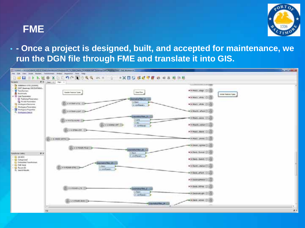#### **FME**



• **- Once a project is designed, built, and accepted for maintenance, we run the DGN file through FME and translate it into GIS.**

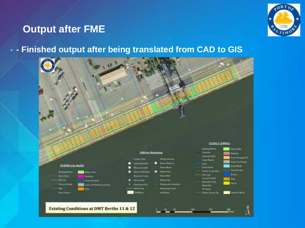#### **Output after FME**



#### • **- Finished output after being translated from CAD to GIS**